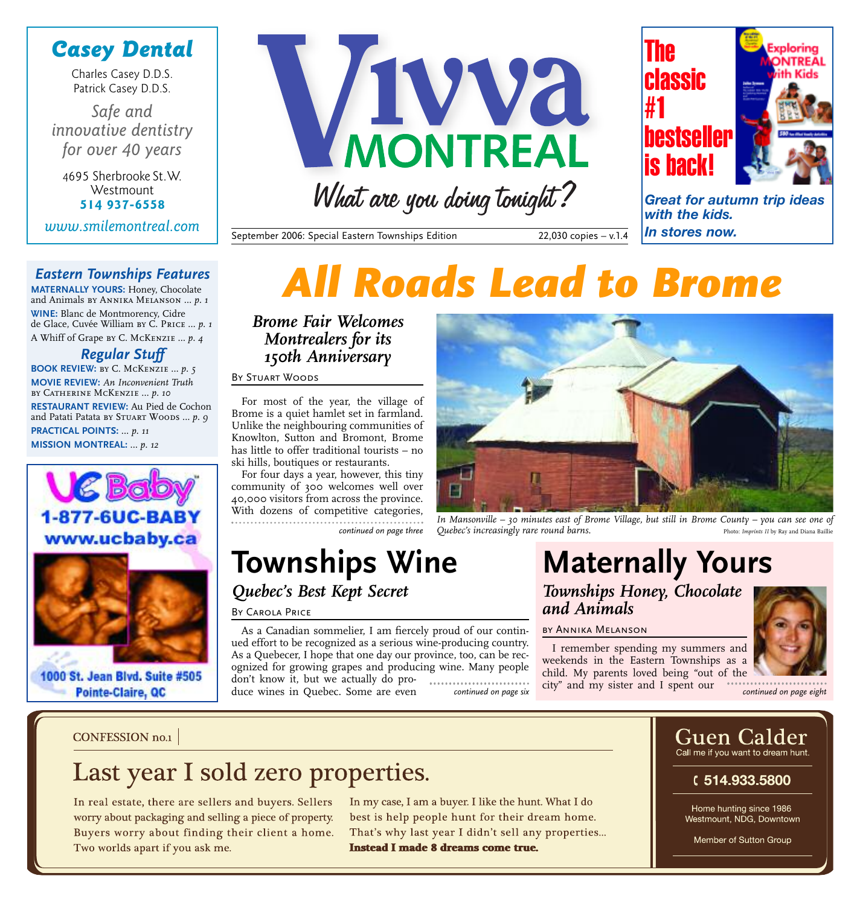### *Casey Dental*

Charles Casey D.D.S. Patrick Casey D.D.S.

*Safe and innovative dentistry for over 40 years*

4695 Sherbrooke St.W. **Westmount 514 937-6558**

*www.smilemontreal.com*

Eastern Townships Features<br>MATERNALLY YOURS: Honey, Chocolate **All Roads Lead to Brome MATERNALLY YOURS:** Honey, Chocolate and Animals by Annika Melanson … *p. 1* **WINE:** Blanc de Montmorency, Cidre de Glace, Cuvée William by C. Price … *p. 1* A Whiff of Grape by C. McKenzie … *p. 4*

#### *Regular Stuff*

**BOOK REVIEW:** by C. McKenzie … *p. 5* **MOVIE REVIEW:** *An Inconvenient Truth* by Catherine McKenzie … *p. 10* **RESTAURANT REVIEW:** Au Pied de Cochon and Patati Patata *BY* STUART WOODS ... p. 9 **PRACTICAL POINTS:** … *p. 11* **MISSION MONTREAL:** … *p. 12*





1000 St. Jean Blvd. Suite #505 Pointe-Claire, QC

### *150th Anniversary* By Stuart Woods For most of the year, the village of Brome is a quiet hamlet set in farmland. Unlike the neighbouring communities of

Knowlton, Sutton and Bromont, Brome has little to offer traditional tourists – no ski hills, boutiques or restaurants.

For four days a year, however, this tiny community of 300 welcomes well over 40,000 visitors from across the province. With dozens of competitive categories, *continued on page three*

### **Townships Wine** *Quebec's Best Kept Secret*

#### By Carola Price

As a Canadian sommelier, I am fiercely proud of our continued effort to be recognized as a serious wine-producing country. As a Quebecer, I hope that one day our province, too, can be recognized for growing grapes and producing wine. Many people don't know it, but we actually do produce wines in Quebec. Some are even



*In Mansonville – 30 minutes east of Brome Village, but still in Brome County – you can see one of Quebec's increasingly rare round barns.* Photo: *Imprints II* by Ray and Diana Baillie

## **Maternally Yours**

*Townships Honey, Chocolate and Animals*

#### by Annika Melanson

I remember spending my summers and weekends in the Eastern Townships as a child. My parents loved being "out of the city" and my sister and I spent our *continued on page six continued on page eight*



#### **CONFESSION no.1**

### Last year I sold zero properties.

In real estate, there are sellers and buyers. Sellers worry about packaging and selling a piece of property. Buyers worry about finding their client a home. Two worlds apart if you ask me.

In my case, I am a buyer. I like the hunt. What I do best is help people hunt for their dream home. That's why last year I didn't sell any properties... Instead I made 8 dreams come true.

#### Guen Calder Call me if you want to dream hunt.

#### G 514.933.5800

Home hunting since 1986 Westmount, NDG, Downtown

Member of Sutton Group

*Montrealers for its*





*with the kids. In stores now.*

September 2006: Special Eastern Townships Edition 22,030 copies – v.1.4

What are you doing tonight?

WAWA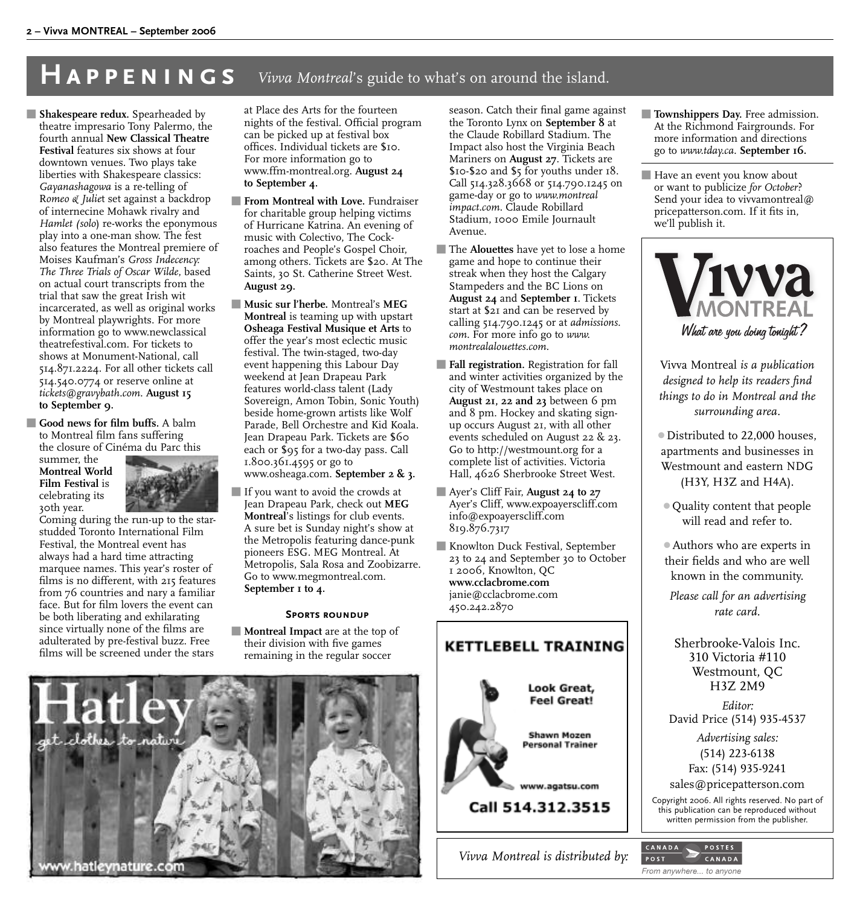### HAPPENINGS *Vivva Montreal's* guide to what's on around the island.

**Shakespeare redux.** Spearheaded by theatre impresario Tony Palermo, the fourth annual **New Classical Theatre Festival** features six shows at four downtown venues. Two plays take liberties with Shakespeare classics: *Gayanashagowa* is a re-telling of R*omeo & Julie*t set against a backdrop of internecine Mohawk rivalry and *Hamlet (solo*) re-works the eponymous play into a one-man show. The fest also features the Montreal premiere of Moises Kaufman's *Gross Indecency: The Three Trials of Oscar Wilde*, based on actual court transcripts from the trial that saw the great Irish wit incarcerated, as well as original works by Montreal playwrights. For more information go to www.newclassical theatrefestival.com. For tickets to shows at Monument-National, call 514.871.2224. For all other tickets call 514.540.0774 or reserve online at *tickets@gravybath.com.* **August 15 to September 9.**

5 **Good news for film buffs.** A balm to Montreal film fans suffering the closure of Cinéma du Parc this

summer, the **Montreal World Film Festival** is celebrating its 30th year.



Coming during the run-up to the starstudded Toronto International Film Festival, the Montreal event has always had a hard time attracting marquee names. This year's roster of films is no different, with 215 features from 76 countries and nary a familiar face. But for film lovers the event can be both liberating and exhilarating since virtually none of the films are adulterated by pre-festival buzz. Free films will be screened under the stars

at Place des Arts for the fourteen nights of the festival. Official program can be picked up at festival box offices. Individual tickets are \$10. For more information go to www.ffm-montreal.org. **August 24 to September 4.**

- **From Montreal with Love. Fundraiser** for charitable group helping victims of Hurricane Katrina. An evening of music with Colectivo, The Cockroaches and People's Gospel Choir, among others. Tickets are \$20. At The Saints, 30 St. Catherine Street West. **August 29.**
- 5 **Music sur l'herbe.** Montreal's **MEG Montreal** is teaming up with upstart **Osheaga Festival Musique et Arts** to offer the year's most eclectic music festival. The twin-staged, two-day event happening this Labour Day weekend at Jean Drapeau Park features world-class talent (Lady Sovereign, Amon Tobin, Sonic Youth) beside home-grown artists like Wolf Parade, Bell Orchestre and Kid Koala. Jean Drapeau Park. Tickets are \$60 each or \$95 for a two-day pass. Call 1.800.361.4595 or go to

www.osheaga.com. **September 2 & 3.**

**If you want to avoid the crowds at** Jean Drapeau Park, check out **MEG Montreal**'s listings for club events. A sure bet is Sunday night's show at the Metropolis featuring dance-punk pioneers ESG. MEG Montreal. At Metropolis, Sala Rosa and Zoobizarre. Go to www.megmontreal.com. September 1 to 4.

#### **Sports roundup**

**Montreal Impact** are at the top of their division with five games remaining in the regular soccer



season. Catch their final game against the Toronto Lynx on **September 8** at the Claude Robillard Stadium. The Impact also host the Virginia Beach Mariners on **August 27**. Tickets are \$10-\$20 and \$5 for youths under 18. Call 514.328.3668 or 514.790.1245 on game-day or go to *www.montreal impact.com.* Claude Robillard Stadium, 1000 Emile Journault Avenue.

- **The Alouettes** have yet to lose a home game and hope to continue their streak when they host the Calgary Stampeders and the BC Lions on **August 24** and **September 1**. Tickets start at \$21 and can be reserved by calling 514.790.1245 or at *admissions. com.* For more info go to *www. montrealalouettes.com.*
- **Fall registration.** Registration for fall and winter activities organized by the city of Westmount takes place on **August 21, 22 and 23** between 6 pm and 8 pm. Hockey and skating signup occurs August 21, with all other events scheduled on August 22 & 23. Go to http://westmount.org for a complete list of activities. Victoria Hall, 4626 Sherbrooke Street West.
- 5 Ayer's Cliff Fair, **August 24 to 27** Ayer's Cliff, www.expoayerscliff.com info@expoayerscliff.com 819.876.7317
- 5 Knowlton Duck Festival, September 23 to 24 and September 30 to October 1 2006, Knowlton, QC **www.cclacbrome.com** janie@cclacbrome.com 450.242.2870



- **Townshippers Day.** Free admission. At the Richmond Fairgrounds. For more information and directions go to *www.tday.ca.* **September 16.**
- **Have an event you know about** or want to publicize *for October*? Send your idea to vivvamontreal@ pricepatterson.com. If it fits in, we'll publish it.



Vivva Montreal *is a publication designed to help its readers find things to do in Montreal and the surrounding area.*

1 Distributed to 22,000 houses, apartments and businesses in Westmount and eastern NDG (H3Y, H3Z and H4A).

• Quality content that people will read and refer to.

1Authors who are experts in their fields and who are well known in the community.

*Please call for an advertising rate card.*

Sherbrooke-Valois Inc. 310 Victoria #110 Westmount, QC H3Z 2M9

*Editor:* David Price (514) 935-4537 *Advertising sales:* (514) 223-6138 Fax: (514) 935-9241 sales@pricepatterson.com

Copyright 2006. All rights reserved. No part of this publication can be reproduced without written permission from the publisher.



From anywhere... to anyone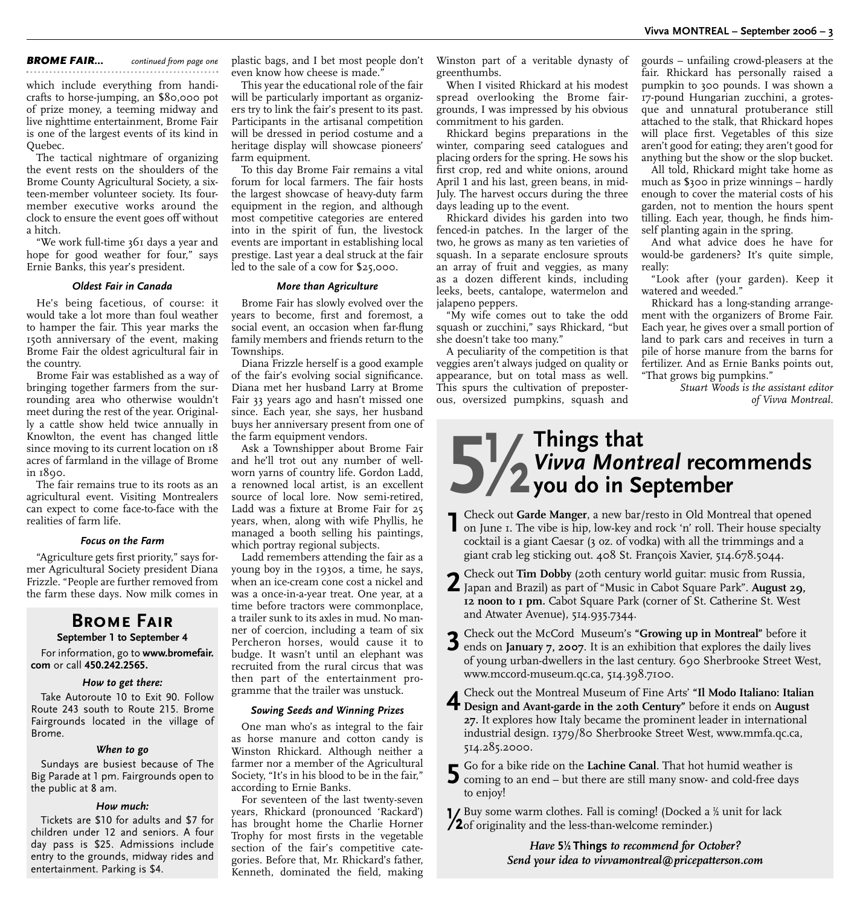*BROME FAIR... continued from page one* 

which include everything from handicrafts to horse-jumping, an \$80,000 pot of prize money, a teeming midway and live nighttime entertainment, Brome Fair is one of the largest events of its kind in Quebec.

The tactical nightmare of organizing the event rests on the shoulders of the Brome County Agricultural Society, a sixteen-member volunteer society. Its fourmember executive works around the clock to ensure the event goes off without a hitch.

"We work full-time 361 days a year and hope for good weather for four," says Ernie Banks, this year's president.

#### *Oldest Fair in Canada*

He's being facetious, of course: it would take a lot more than foul weather to hamper the fair. This year marks the 150th anniversary of the event, making Brome Fair the oldest agricultural fair in the country.

Brome Fair was established as a way of bringing together farmers from the surrounding area who otherwise wouldn't meet during the rest of the year. Originally a cattle show held twice annually in Knowlton, the event has changed little since moving to its current location on  $18$ acres of farmland in the village of Brome in 1890.

The fair remains true to its roots as an agricultural event. Visiting Montrealers can expect to come face-to-face with the realities of farm life.

#### *Focus on the Farm*

"Agriculture gets first priority," says former Agricultural Society president Diana Frizzle. "People are further removed from the farm these days. Now milk comes in

#### **Brome Fair**

#### **September 1 to September 4**

For information, go to **www.bromefair. com** or call **450.242.2565.**

#### *How to get there:*

Take Autoroute 10 to Exit 90. Follow Route 243 south to Route 215. Brome Fairgrounds located in the village of Brome.

#### *When to go*

Sundays are busiest because of The Big Parade at 1 pm. Fairgrounds open to the public at 8 am.

#### *How much:*

Tickets are \$10 for adults and \$7 for children under 12 and seniors. A four day pass is \$25. Admissions include entry to the grounds, midway rides and entertainment. Parking is \$4.

plastic bags, and I bet most people don't even know how cheese is made."

This year the educational role of the fair will be particularly important as organizers try to link the fair's present to its past. Participants in the artisanal competition will be dressed in period costume and a heritage display will showcase pioneers' farm equipment.

To this day Brome Fair remains a vital forum for local farmers. The fair hosts the largest showcase of heavy-duty farm equipment in the region, and although most competitive categories are entered into in the spirit of fun, the livestock events are important in establishing local prestige. Last year a deal struck at the fair led to the sale of a cow for \$25,000.

#### *More than Agriculture*

Brome Fair has slowly evolved over the years to become, first and foremost, a social event, an occasion when far-flung family members and friends return to the Townships.

Diana Frizzle herself is a good example of the fair's evolving social significance. Diana met her husband Larry at Brome Fair 33 years ago and hasn't missed one since. Each year, she says, her husband buys her anniversary present from one of the farm equipment vendors.

Ask a Townshipper about Brome Fair and he'll trot out any number of wellworn yarns of country life. Gordon Ladd, a renowned local artist, is an excellent source of local lore. Now semi-retired, Ladd was a fixture at Brome Fair for 25 years, when, along with wife Phyllis, he managed a booth selling his paintings, which portray regional subjects.

Ladd remembers attending the fair as a young boy in the 1930s, a time, he says, when an ice-cream cone cost a nickel and was a once-in-a-year treat. One year, at a time before tractors were commonplace, a trailer sunk to its axles in mud. No manner of coercion, including a team of six Percheron horses, would cause it to budge. It wasn't until an elephant was recruited from the rural circus that was then part of the entertainment programme that the trailer was unstuck.

#### *Sowing Seeds and Winning Prizes*

One man who's as integral to the fair as horse manure and cotton candy is Winston Rhickard. Although neither a farmer nor a member of the Agricultural Society, "It's in his blood to be in the fair," according to Ernie Banks.

For seventeen of the last twenty-seven years, Rhickard (pronounced 'Rackard') has brought home the Charlie Horner Trophy for most firsts in the vegetable section of the fair's competitive categories. Before that, Mr. Rhickard's father, Kenneth, dominated the field, making Winston part of a veritable dynasty of greenthumbs.

When I visited Rhickard at his modest spread overlooking the Brome fairgrounds, I was impressed by his obvious commitment to his garden.

Rhickard begins preparations in the winter, comparing seed catalogues and placing orders for the spring. He sows his first crop, red and white onions, around April 1 and his last, green beans, in mid-July. The harvest occurs during the three days leading up to the event.

Rhickard divides his garden into two fenced-in patches. In the larger of the two, he grows as many as ten varieties of squash. In a separate enclosure sprouts an array of fruit and veggies, as many as a dozen different kinds, including leeks, beets, cantalope, watermelon and jalapeno peppers.

"My wife comes out to take the odd squash or zucchini," says Rhickard, "but she doesn't take too many."

A peculiarity of the competition is that veggies aren't always judged on quality or appearance, but on total mass as well. This spurs the cultivation of preposterous, oversized pumpkins, squash and

gourds – unfailing crowd-pleasers at the fair. Rhickard has personally raised a pumpkin to 300 pounds. I was shown a 17-pound Hungarian zucchini, a grotesque and unnatural protuberance still attached to the stalk, that Rhickard hopes will place first. Vegetables of this size aren't good for eating; they aren't good for anything but the show or the slop bucket.

All told, Rhickard might take home as much as \$300 in prize winnings – hardly enough to cover the material costs of his garden, not to mention the hours spent tilling. Each year, though, he finds himself planting again in the spring.

And what advice does he have for would-be gardeners? It's quite simple, really:

"Look after (your garden). Keep it watered and weeded."

Rhickard has a long-standing arrangement with the organizers of Brome Fair. Each year, he gives over a small portion of land to park cars and receives in turn a pile of horse manure from the barns for fertilizer. And as Ernie Banks points out, "That grows big pumpkins."

*Stuart Woods is the assistant editor of Vivva Montreal.*

### **5-Things that** *Vivva Montreal* **recommends you do in September**

**1** Check out **Garde Manger**, a new bar/resto in Old Montreal that opened on June 1. The vibe is hip, low-key and rock 'n' roll. Their house specialty cocktail is a giant Caesar (3 oz. of vodka) with all the trimmings and a giant crab leg sticking out. 408 St. François Xavier, 514.678.5044.

**2** Check out **Tim Dobby** (20th century world guitar: music from Russia, Japan and Brazil) as part of "Music in Cabot Square Park". **August 29, 12 noon to 1 pm.** Cabot Square Park (corner of St. Catherine St. West and Atwater Avenue), 514.935.7344.

- **3** Check out the McCord Museum's **"Growing up in Montreal"** before it ends on **January** 7, 2007. It is an exhibition that explores the daily lives of young urban-dwellers in the last century. 690 Sherbrooke Street West, www.mccord-museum.qc.ca, 514.398.7100.
- **4** Check out the Montreal Museum of Fine Arts' **"Il Modo Italiano: Italian Design and Avant-garde in the 20th Century"** before it ends on **August 27.** It explores how Italy became the prominent leader in international industrial design. 1379/80 Sherbrooke Street West, www.mmfa.qc.ca, 514.285.2000.

**5** Go for a bike ride on the **Lachine Canal**. That hot humid weather is coming to an end – but there are still many snow- and cold-free days to enjoy!

<sup>1</sup>/ Buy some warm clothes. Fall is coming! (Docked a <sup>1/2</sup> unit for lack /2of originality and the less-than-welcome reminder.)

> *Have* **5- Things** *to recommend for October? Send your idea to vivvamontreal@pricepatterson.com*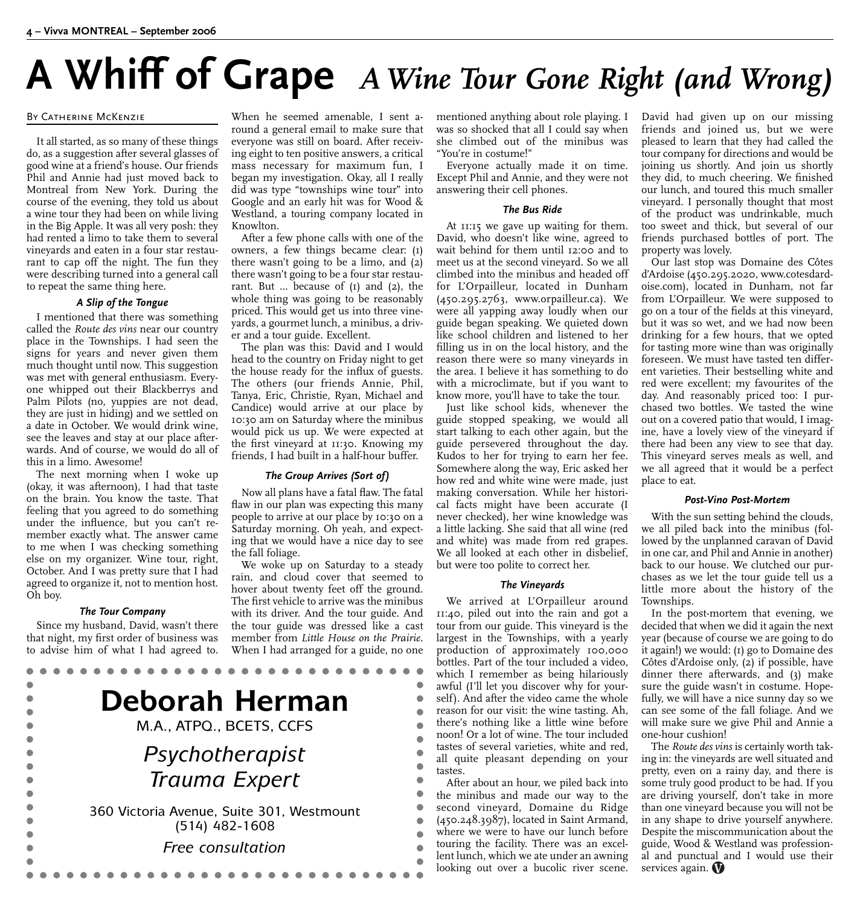# **A Whiff of Grape** *A Wine Tour Gone Right (and Wrong)*

#### BY CATHERINE MCKENZIE

It all started, as so many of these things do, as a suggestion after several glasses of good wine at a friend's house. Our friends Phil and Annie had just moved back to Montreal from New York. During the course of the evening, they told us about a wine tour they had been on while living in the Big Apple. It was all very posh: they had rented a limo to take them to several vineyards and eaten in a four star restaurant to cap off the night. The fun they were describing turned into a general call to repeat the same thing here.

#### *A Slip of the Tongue*

I mentioned that there was something called the *Route des vins* near our country place in the Townships. I had seen the signs for years and never given them much thought until now. This suggestion was met with general enthusiasm. Everyone whipped out their Blackberrys and Palm Pilots (no, yuppies are not dead, they are just in hiding) and we settled on a date in October. We would drink wine, see the leaves and stay at our place afterwards. And of course, we would do all of this in a limo. Awesome!

The next morning when I woke up (okay, it was afternoon), I had that taste on the brain. You know the taste. That feeling that you agreed to do something under the influence, but you can't remember exactly what. The answer came to me when I was checking something else on my organizer. Wine tour, right, October. And I was pretty sure that I had agreed to organize it, not to mention host. Oh boy.

#### *The Tour Company*

Since my husband, David, wasn't there that night, my first order of business was to advise him of what I had agreed to.

When he seemed amenable, I sent around a general email to make sure that everyone was still on board. After receiving eight to ten positive answers, a critical mass necessary for maximum fun, I began my investigation. Okay, all I really did was type "townships wine tour" into Google and an early hit was for Wood & Westland, a touring company located in Knowlton.

After a few phone calls with one of the owners, a few things became clear: (1) there wasn't going to be a limo, and (2) there wasn't going to be a four star restaurant. But ... because of  $(I)$  and  $(2)$ , the whole thing was going to be reasonably priced. This would get us into three vineyards, a gourmet lunch, a minibus, a driver and a tour guide. Excellent.

The plan was this: David and I would head to the country on Friday night to get the house ready for the influx of guests. The others (our friends Annie, Phil, Tanya, Eric, Christie, Ryan, Michael and Candice) would arrive at our place by 10:30 am on Saturday where the minibus would pick us up. We were expected at the first vineyard at 11:30. Knowing my friends, I had built in a half-hour buffer.

#### *The Group Arrives (Sort of)*

Now all plans have a fatal flaw. The fatal flaw in our plan was expecting this many people to arrive at our place by 10:30 on a Saturday morning. Oh yeah, and expecting that we would have a nice day to see the fall foliage.

We woke up on Saturday to a steady rain, and cloud cover that seemed to hover about twenty feet off the ground. The first vehicle to arrive was the minibus with its driver. And the tour guide. And the tour guide was dressed like a cast member from *Little House on the Prairie*. When I had arranged for a guide, no one

> $\bullet$  $\bullet$  $\bullet$  $\bullet$  $\bullet$

 $\blacksquare$ 



mentioned anything about role playing. I was so shocked that all I could say when she climbed out of the minibus was "You're in costume!"

Everyone actually made it on time. Except Phil and Annie, and they were not answering their cell phones.

#### *The Bus Ride*

At 11:15 we gave up waiting for them. David, who doesn't like wine, agreed to wait behind for them until 12:00 and to meet us at the second vineyard. So we all climbed into the minibus and headed off for L'Orpailleur, located in Dunham (450.295.2763, www.orpailleur.ca). We were all yapping away loudly when our guide began speaking. We quieted down like school children and listened to her filling us in on the local history, and the reason there were so many vineyards in the area. I believe it has something to do with a microclimate, but if you want to know more, you'll have to take the tour.

Just like school kids, whenever the guide stopped speaking, we would all start talking to each other again, but the guide persevered throughout the day. Kudos to her for trying to earn her fee. Somewhere along the way, Eric asked her how red and white wine were made, just making conversation. While her historical facts might have been accurate (I never checked), her wine knowledge was a little lacking. She said that all wine (red and white) was made from red grapes. We all looked at each other in disbelief, but were too polite to correct her.

#### *The Vineyards*

We arrived at L'Orpailleur around 11:40, piled out into the rain and got a tour from our guide. This vineyard is the largest in the Townships, with a yearly production of approximately 100,000 bottles. Part of the tour included a video, which I remember as being hilariously awful (I'll let you discover why for yourself). And after the video came the whole reason for our visit: the wine tasting. Ah, there's nothing like a little wine before noon! Or a lot of wine. The tour included tastes of several varieties, white and red, all quite pleasant depending on your tastes.

After about an hour, we piled back into the minibus and made our way to the second vineyard, Domaine du Ridge (450.248.3987), located in Saint Armand, where we were to have our lunch before touring the facility. There was an excellent lunch, which we ate under an awning looking out over a bucolic river scene. David had given up on our missing friends and joined us, but we were pleased to learn that they had called the tour company for directions and would be joining us shortly. And join us shortly they did, to much cheering. We finished our lunch, and toured this much smaller vineyard. I personally thought that most of the product was undrinkable, much too sweet and thick, but several of our friends purchased bottles of port. The property was lovely.

Our last stop was Domaine des Côtes d'Ardoise (450.295.2020, www.cotesdardoise.com), located in Dunham, not far from L'Orpailleur. We were supposed to go on a tour of the fields at this vineyard, but it was so wet, and we had now been drinking for a few hours, that we opted for tasting more wine than was originally foreseen. We must have tasted ten different varieties. Their bestselling white and red were excellent; my favourites of the day. And reasonably priced too: I purchased two bottles. We tasted the wine out on a covered patio that would, I imagine, have a lovely view of the vineyard if there had been any view to see that day. This vineyard serves meals as well, and we all agreed that it would be a perfect place to eat.

#### *Post-Vino Post-Mortem*

With the sun setting behind the clouds, we all piled back into the minibus (followed by the unplanned caravan of David in one car, and Phil and Annie in another) back to our house. We clutched our purchases as we let the tour guide tell us a little more about the history of the Townships.

In the post-mortem that evening, we decided that when we did it again the next year (because of course we are going to do it again!) we would: (1) go to Domaine des Côtes d'Ardoise only, (2) if possible, have dinner there afterwards, and (3) make sure the guide wasn't in costume. Hopefully, we will have a nice sunny day so we can see some of the fall foliage. And we will make sure we give Phil and Annie a one-hour cushion!

The *Route des vins* is certainly worth taking in: the vineyards are well situated and pretty, even on a rainy day, and there is some truly good product to be had. If you are driving yourself, don't take in more than one vineyard because you will not be in any shape to drive yourself anywhere. Despite the miscommunication about the guide, Wood & Westland was professional and punctual and I would use their services again.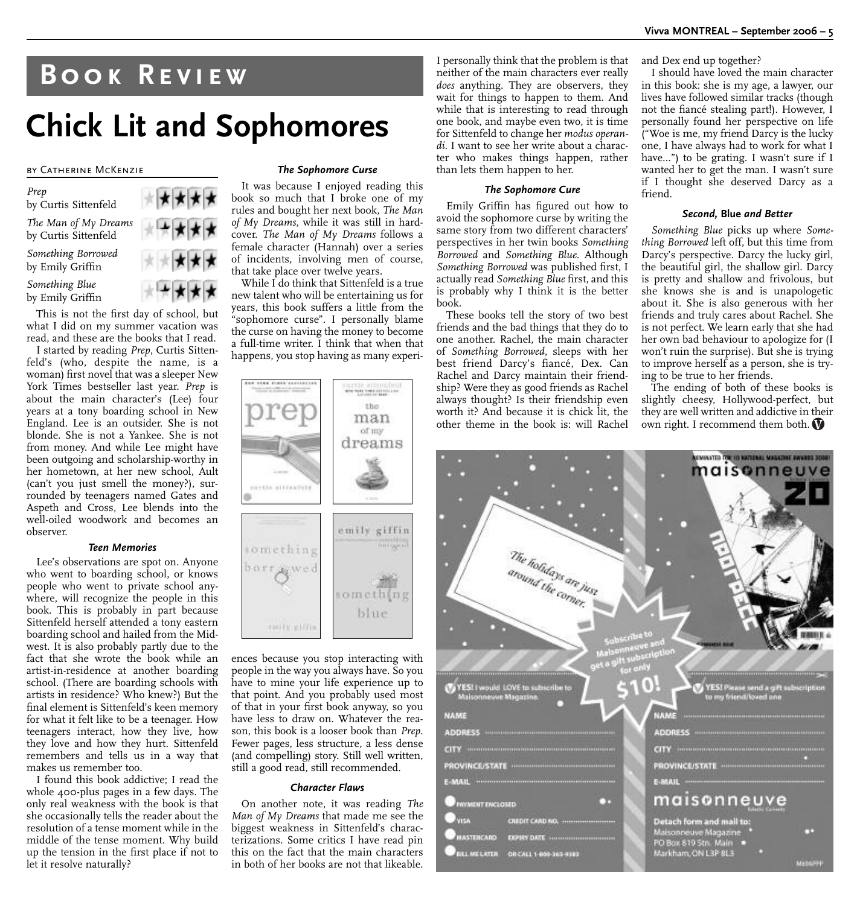### **Book Review**

## **Chick Lit and Sophomores**

#### by Catherine McKenzie

| Prep<br>by Curtis Sittenfeld                 | ★★★★★       |
|----------------------------------------------|-------------|
| The Man of My Dreams<br>by Curtis Sittenfeld | €★★★★       |
| Something Borrowed<br>by Emily Griffin       | *****       |
| Something Blue<br>by Emily Griffin           | <b>★★★★</b> |
|                                              |             |

This is not the first day of school, but what I did on my summer vacation was read, and these are the books that I read.

I started by reading *Prep*, Curtis Sittenfeld's (who, despite the name, is a woman) first novel that was a sleeper New York Times bestseller last year. *Prep* is about the main character's (Lee) four years at a tony boarding school in New England. Lee is an outsider. She is not blonde. She is not a Yankee. She is not from money. And while Lee might have been outgoing and scholarship-worthy in her hometown, at her new school, Ault (can't you just smell the money?), surrounded by teenagers named Gates and Aspeth and Cross, Lee blends into the well-oiled woodwork and becomes an observer.

#### *Teen Memories*

Lee's observations are spot on. Anyone who went to boarding school, or knows people who went to private school anywhere, will recognize the people in this book. This is probably in part because Sittenfeld herself attended a tony eastern boarding school and hailed from the Midwest. It is also probably partly due to the fact that she wrote the book while an artist-in-residence at another boarding school. (There are boarding schools with artists in residence? Who knew?) But the final element is Sittenfeld's keen memory for what it felt like to be a teenager. How teenagers interact, how they live, how they love and how they hurt. Sittenfeld remembers and tells us in a way that makes us remember too.

I found this book addictive; I read the whole 400-plus pages in a few days. The only real weakness with the book is that she occasionally tells the reader about the resolution of a tense moment while in the middle of the tense moment. Why build up the tension in the first place if not to let it resolve naturally?

#### *The Sophomore Curse*

It was because I enjoyed reading this book so much that I broke one of my rules and bought her next book, *The Man of My Dreams*, while it was still in hardcover. *The Man of My Dreams* follows a female character (Hannah) over a series of incidents, involving men of course, that take place over twelve years.

While I do think that Sittenfeld is a true new talent who will be entertaining us for years, this book suffers a little from the "sophomore curse". I personally blame the curse on having the money to become a full-time writer. I think that when that happens, you stop having as many experi-



ences because you stop interacting with people in the way you always have. So you have to mine your life experience up to that point. And you probably used most of that in your first book anyway, so you have less to draw on. Whatever the reason, this book is a looser book than *Prep*. Fewer pages, less structure, a less dense (and compelling) story. Still well written, still a good read, still recommended.

#### *Character Flaws*

On another note, it was reading *The Man of My Dreams* that made me see the biggest weakness in Sittenfeld's characterizations. Some critics I have read pin this on the fact that the main characters in both of her books are not that likeable. I personally think that the problem is that neither of the main characters ever really *does* anything. They are observers, they wait for things to happen to them. And while that is interesting to read through one book, and maybe even two, it is time for Sittenfeld to change her *modus operandi*. I want to see her write about a character who makes things happen, rather than lets them happen to her.

#### *The Sophomore Cure*

Emily Griffin has figured out how to avoid the sophomore curse by writing the same story from two different characters' perspectives in her twin books *Something Borrowed* and *Something Blue*. Although *Something Borrowed* was published first, I actually read *Something Blue* first, and this is probably why I think it is the better book.

These books tell the story of two best friends and the bad things that they do to one another. Rachel, the main character of *Something Borrowed*, sleeps with her best friend Darcy's fiancé, Dex. Can Rachel and Darcy maintain their friendship? Were they as good friends as Rachel always thought? Is their friendship even worth it? And because it is chick lit, the other theme in the book is: will Rachel

and Dex end up together?

I should have loved the main character in this book: she is my age, a lawyer, our lives have followed similar tracks (though not the fiancé stealing part!). However, I personally found her perspective on life ("Woe is me, my friend Darcy is the lucky one, I have always had to work for what I have…") to be grating. I wasn't sure if I wanted her to get the man. I wasn't sure if I thought she deserved Darcy as a friend.

#### *Second,* **Blue** *and Better*

*Something Blue* picks up where *Something Borrowed* left off, but this time from Darcy's perspective. Darcy the lucky girl, the beautiful girl, the shallow girl. Darcy is pretty and shallow and frivolous, but she knows she is and is unapologetic about it. She is also generous with her friends and truly cares about Rachel. She is not perfect. We learn early that she had her own bad behaviour to apologize for (I won't ruin the surprise). But she is trying to improve herself as a person, she is trying to be true to her friends.

The ending of both of these books is slightly cheesy, Hollywood-perfect, but they are well written and addictive in their own right. I recommend them both.

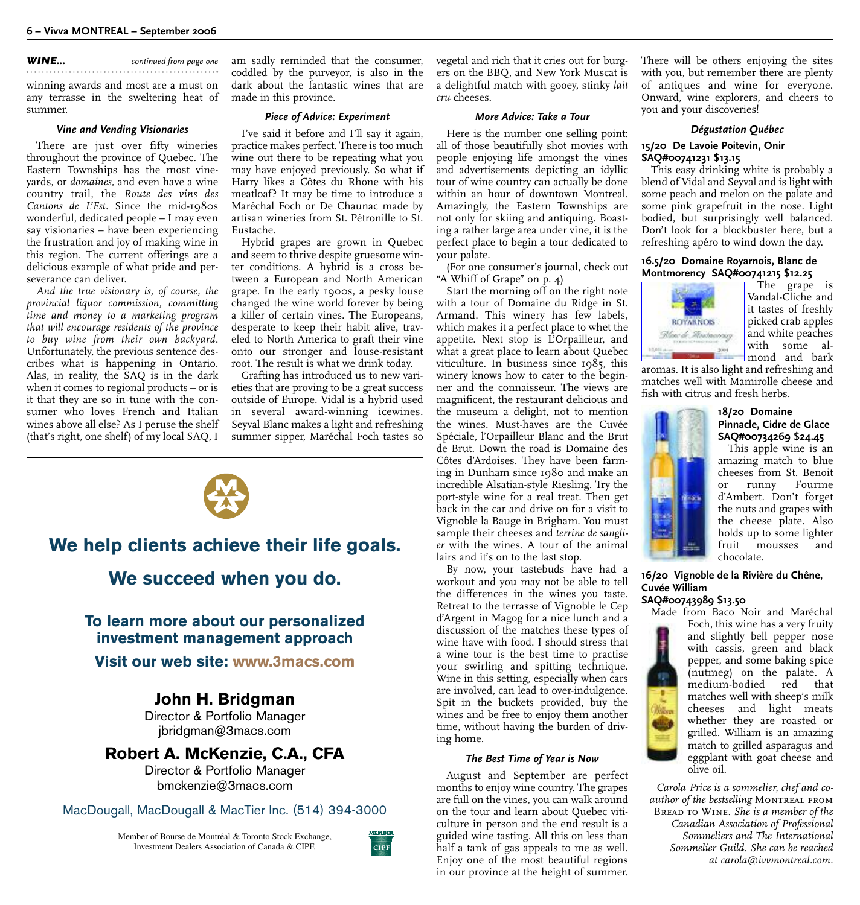*WINE... continued from page one*

winning awards and most are a must on any terrasse in the sweltering heat of summer.

#### *Vine and Vending Visionaries*

There are just over fifty wineries throughout the province of Quebec. The Eastern Townships has the most vineyards, or *domaines,* and even have a wine country trail, the *Route des vins des Cantons de L'Est*. Since the mid-1980s wonderful, dedicated people – I may even say visionaries – have been experiencing the frustration and joy of making wine in this region. The current offerings are a delicious example of what pride and perseverance can deliver.

*And the true visionary is, of course, the provincial liquor commission, committing time and money to a marketing program that will encourage residents of the province to buy wine from their own backyard.* Unfortunately, the previous sentence describes what is happening in Ontario. Alas, in reality, the SAQ is in the dark when it comes to regional products – or is it that they are so in tune with the consumer who loves French and Italian wines above all else? As I peruse the shelf (that's right, one shelf) of my local SAQ, I

am sadly reminded that the consumer, coddled by the purveyor, is also in the dark about the fantastic wines that are made in this province.

#### *Piece of Advice: Experiment*

I've said it before and I'll say it again, practice makes perfect. There is too much wine out there to be repeating what you may have enjoyed previously. So what if Harry likes a Côtes du Rhone with his meatloaf? It may be time to introduce a Maréchal Foch or De Chaunac made by artisan wineries from St. Pétronille to St. Eustache.

Hybrid grapes are grown in Quebec and seem to thrive despite gruesome winter conditions. A hybrid is a cross between a European and North American grape. In the early 1900s, a pesky louse changed the wine world forever by being a killer of certain vines. The Europeans, desperate to keep their habit alive, traveled to North America to graft their vine onto our stronger and louse-resistant root. The result is what we drink today.

Grafting has introduced us to new varieties that are proving to be a great success outside of Europe. Vidal is a hybrid used in several award-winning icewines. Seyval Blanc makes a light and refreshing summer sipper, Maréchal Foch tastes so



#### Director & Portfolio Manager jbridgman@3macs.com

**Robert A. McKenzie, C.A., CFA**

Director & Portfolio Manager bmckenzie@3macs.com

MacDougall, MacDougall & MacTier Inc. (514) 394-3000

Member of Bourse de Montréal & Toronto Stock Exchange, Investment Dealers Association of Canada & CIPF.



vegetal and rich that it cries out for burgers on the BBQ, and New York Muscat is a delightful match with gooey, stinky *lait cru* cheeses.

#### *More Advice: Take a Tour*

Here is the number one selling point: all of those beautifully shot movies with people enjoying life amongst the vines and advertisements depicting an idyllic tour of wine country can actually be done within an hour of downtown Montreal. Amazingly, the Eastern Townships are not only for skiing and antiquing. Boasting a rather large area under vine, it is the perfect place to begin a tour dedicated to your palate.

(For one consumer's journal, check out "A Whiff of Grape" on p. 4)

Start the morning off on the right note with a tour of Domaine du Ridge in St. Armand. This winery has few labels, which makes it a perfect place to whet the appetite. Next stop is L'Orpailleur, and what a great place to learn about Quebec viticulture. In business since 1985, this winery knows how to cater to the beginner and the connaisseur. The views are magnificent, the restaurant delicious and the museum a delight, not to mention the wines. Must-haves are the Cuvée Spéciale, l'Orpailleur Blanc and the Brut de Brut. Down the road is Domaine des Côtes d'Ardoises. They have been farming in Dunham since 1980 and make an incredible Alsatian-style Riesling. Try the port-style wine for a real treat. Then get back in the car and drive on for a visit to Vignoble la Bauge in Brigham. You must sample their cheeses and *terrine de sanglier* with the wines. A tour of the animal lairs and it's on to the last stop.

By now, your tastebuds have had a workout and you may not be able to tell the differences in the wines you taste. Retreat to the terrasse of Vignoble le Cep d'Argent in Magog for a nice lunch and a discussion of the matches these types of wine have with food. I should stress that a wine tour is the best time to practise your swirling and spitting technique. Wine in this setting, especially when cars are involved, can lead to over-indulgence. Spit in the buckets provided, buy the wines and be free to enjoy them another time, without having the burden of driving home.

#### *The Best Time of Year is Now*

August and September are perfect months to enjoy wine country. The grapes are full on the vines, you can walk around on the tour and learn about Quebec viticulture in person and the end result is a guided wine tasting. All this on less than half a tank of gas appeals to me as well. Enjoy one of the most beautiful regions in our province at the height of summer. There will be others enjoying the sites with you, but remember there are plenty of antiques and wine for everyone. Onward, wine explorers, and cheers to you and your discoveries!

#### *Dégustation Québec*

#### **15/20 De Lavoie Poitevin, Onir SAQ#00741231 \$13.15**

This easy drinking white is probably a blend of Vidal and Seyval and is light with some peach and melon on the palate and some pink grapefruit in the nose. Light bodied, but surprisingly well balanced. Don't look for a blockbuster here, but a refreshing apéro to wind down the day.

#### **16.5/20 Domaine Royarnois, Blanc de Montmorency SAQ#00741215 \$12.25**



The grape is Vandal-Cliche and it tastes of freshly picked crab apples and white peaches with some almond and bark

aromas. It is also light and refreshing and matches well with Mamirolle cheese and fish with citrus and fresh herbs.



**18/20 Domaine Pinnacle, Cidre de Glace SAQ#00734269 \$24.45**

This apple wine is an amazing match to blue cheeses from St. Benoit<br>or runny Fourme or runny d'Ambert. Don't forget the nuts and grapes with the cheese plate. Also holds up to some lighter fruit mousses and chocolate.

#### **16/20 Vignoble de la Rivière du Chêne, Cuvée William**

#### **SAQ#00743989 \$13.50**



Made from Baco Noir and Maréchal Foch, this wine has a very fruity and slightly bell pepper nose with cassis, green and black pepper, and some baking spice (nutmeg) on the palate. A medium-bodied red that matches well with sheep's milk cheeses and light meats whether they are roasted or grilled. William is an amazing match to grilled asparagus and eggplant with goat cheese and olive oil.

*Carola Price is a sommelier, chef and co*author of the bestselling MONTREAL FROM Bread to Wine. *She is a member of the Canadian Association of Professional Sommeliers and The International Sommelier Guild. She can be reached at carola@ivvmontreal.com.*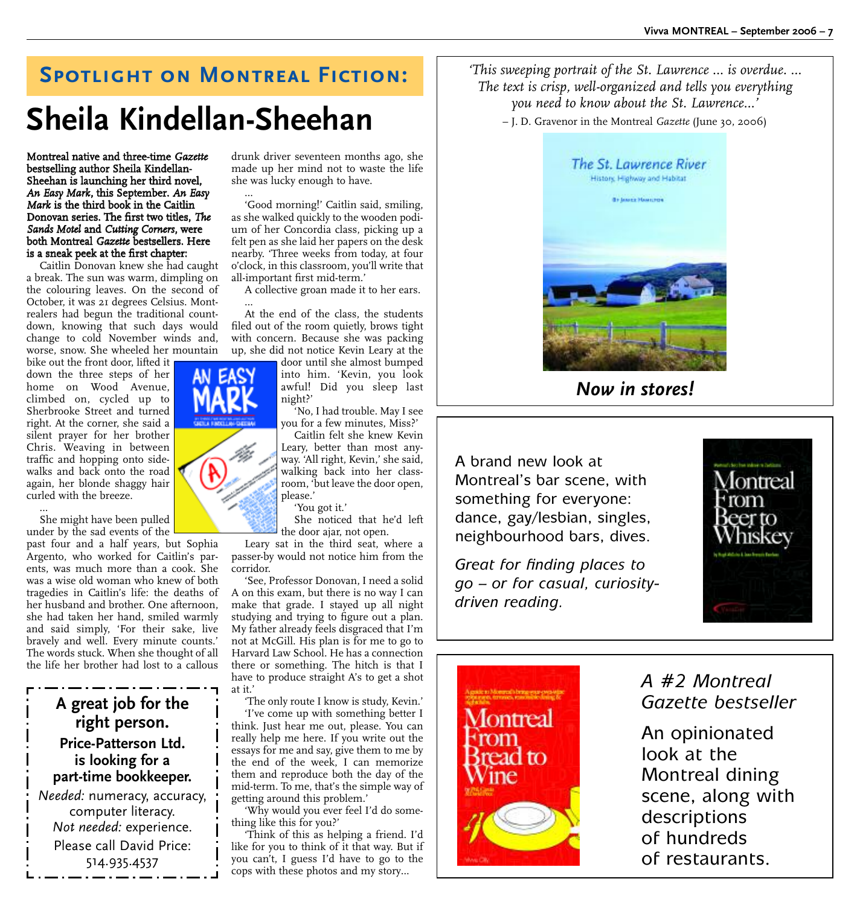## **Spotlight on Montreal Fiction: Sheila Kindellan-Sheehan**

Montreal native and three-time *Gazette* bestselling author Sheila Kindellan-Sheehan is launching her third novel, *An Easy Mark*, this September. *An Easy Mark* is the third book in the Caitlin Donovan series. The first two titles, *The Sands Motel* and *Cutting Corners*, were both Montreal *Gazette* bestsellers. Here is a sneak peek at the first chapter:

Caitlin Donovan knew she had caught a break. The sun was warm, dimpling on the colouring leaves. On the second of October, it was 21 degrees Celsius. Montrealers had begun the traditional countdown, knowing that such days would change to cold November winds and, worse, snow. She wheeled her mountain

bike out the front door, lifted it down the three steps of her home on Wood Avenue, climbed on, cycled up to Sherbrooke Street and turned right. At the corner, she said a silent prayer for her brother Chris. Weaving in between traffic and hopping onto sidewalks and back onto the road again, her blonde shaggy hair curled with the breeze.

… She might have been pulled under by the sad events of the

past four and a half years, but Sophia Argento, who worked for Caitlin's parents, was much more than a cook. She was a wise old woman who knew of both tragedies in Caitlin's life: the deaths of her husband and brother. One afternoon, she had taken her hand, smiled warmly and said simply, 'For their sake, live bravely and well. Every minute counts.' The words stuck. When she thought of all the life her brother had lost to a callous



drunk driver seventeen months ago, she made up her mind not to waste the life she was lucky enough to have.

… 'Good morning!' Caitlin said, smiling, as she walked quickly to the wooden podium of her Concordia class, picking up a felt pen as she laid her papers on the desk nearby. 'Three weeks from today, at four o'clock, in this classroom, you'll write that all-important first mid-term.'

A collective groan made it to her ears.

… At the end of the class, the students filed out of the room quietly, brows tight with concern. Because she was packing up, she did not notice Kevin Leary at the

door until she almost bumped into him. 'Kevin, you look awful! Did you sleep last night?'

'No, I had trouble. May I see you for a few minutes, Miss?'

Caitlin felt she knew Kevin Leary, better than most anyway. 'All right, Kevin,' she said, walking back into her classroom, 'but leave the door open, please.'

'You got it.'

She noticed that he'd left the door ajar, not open.

Leary sat in the third seat, where a passer-by would not notice him from the corridor.

'See, Professor Donovan, I need a solid A on this exam, but there is no way I can make that grade. I stayed up all night studying and trying to figure out a plan. My father already feels disgraced that I'm not at McGill. His plan is for me to go to Harvard Law School. He has a connection there or something. The hitch is that I have to produce straight A's to get a shot at it.'

'The only route I know is study, Kevin.' 'I've come up with something better I think. Just hear me out, please. You can really help me here. If you write out the essays for me and say, give them to me by the end of the week, I can memorize them and reproduce both the day of the mid-term. To me, that's the simple way of getting around this problem.'

'Why would you ever feel I'd do something like this for you?'

'Think of this as helping a friend. I'd like for you to think of it that way. But if you can't, I guess I'd have to go to the cops with these photos and my story…

*'This sweeping portrait of the St. Lawrence … is overdue. ... The text is crisp, well-organized and tells you everything you need to know about the St. Lawrence...'*

– J. D. Gravenor in the Montreal *Gazette* (June 30, 2006)



*Now in stores!*

A brand new look at Montreal's bar scene, with something for everyone: dance, gay/lesbian, singles, neighbourhood bars, dives.

*Great for finding places to go – or for casual, curiositydriven reading.*





### *A #2 Montreal Gazette bestseller*

An opinionated look at the Montreal dining scene, along with descriptions of hundreds of restaurants.

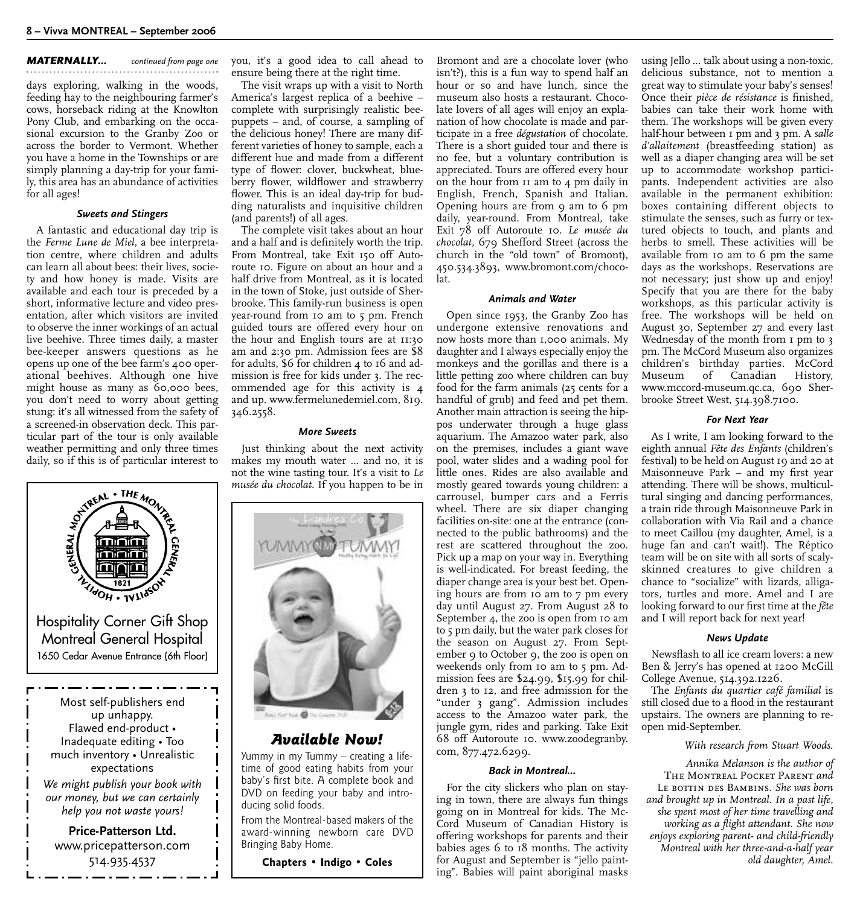#### *MATERNALLY... continued from page one*

days exploring, walking in the woods, feeding hay to the neighbouring farmer's cows, horseback riding at the Knowlton Pony Club, and embarking on the occasional excursion to the Granby Zoo or across the border to Vermont. Whether you have a home in the Townships or are simply planning a day-trip for your family, this area has an abundance of activities for all ages!

#### *Sweets and Stingers*

A fantastic and educational day trip is the *Ferme Lune de Miel*, a bee interpretation centre, where children and adults can learn all about bees: their lives, society and how honey is made. Visits are available and each tour is preceded by a short, informative lecture and video presentation, after which visitors are invited to observe the inner workings of an actual live beehive. Three times daily, a master bee-keeper answers questions as he opens up one of the bee farm's 400 operational beehives. Although one hive might house as many as 60,000 bees, you don't need to worry about getting stung: it's all witnessed from the safety of a screened-in observation deck. This particular part of the tour is only available daily, so if this is of particular interest to



you, it's a good idea to call ahead to ensure being there at the right time.

The visit wraps up with a visit to North America's largest replica of a beehive – complete with surprisingly realistic beepuppets – and, of course, a sampling of the delicious honey! There are many different varieties of honey to sample, each a different hue and made from a different type of flower: clover, buckwheat, blueberry flower, wildflower and strawberry flower. This is an ideal day-trip for budding naturalists and inquisitive children (and parents!) of all ages.

The complete visit takes about an hour and a half and is definitely worth the trip. From Montreal, take Exit 150 off Autoroute 10. Figure on about an hour and a half drive from Montreal, as it is located in the town of Stoke, just outside of Sherbrooke. This family-run business is open year-round from 10 am to 5 pm. French guided tours are offered every hour on the hour and English tours are at 11:30 am and 2:30 pm. Admission fees are \$8 for adults, \$6 for children 4 to 16 and admission is free for kids under 3. The recommended age for this activity is 4 and up. www.fermelunedemiel.com, 819. 346.2558.

#### *More Sweets*

Just thinking about the next activity makes my mouth water … and no, it is not the wine tasting tour. It's a visit to *Le musée du chocolat*. If you happen to be in



#### *Available Now!*

Yummy in my Tummy – creating a lifetime of good eating habits from your baby's first bite. A complete book and DVD on feeding your baby and introducing solid foods.

From the Montreal-based makers of the award-winning newborn care DVD Bringing Baby Home.

**Chapters • Indigo • Coles**

Bromont and are a chocolate lover (who isn't?), this is a fun way to spend half an hour or so and have lunch, since the museum also hosts a restaurant. Chocolate lovers of all ages will enjoy an explanation of how chocolate is made and participate in a free *dégustation* of chocolate. There is a short guided tour and there is no fee, but a voluntary contribution is appreciated. Tours are offered every hour on the hour from 11 am to 4 pm daily in English, French, Spanish and Italian. Opening hours are from 9 am to 6 pm daily, year-round. From Montreal, take Exit 78 off Autoroute 10. *Le musée du chocolat*, 679 Shefford Street (across the church in the "old town" of Bromont), 450.534.3893, www.bromont.com/chocolat.

#### *Animals and Water*

Open since 1953, the Granby Zoo has undergone extensive renovations and now hosts more than 1,000 animals. My daughter and I always especially enjoy the monkeys and the gorillas and there is a little petting zoo where children can buy food for the farm animals (25 cents for a handful of grub) and feed and pet them. Another main attraction is seeing the hippos underwater through a huge glass aquarium. The Amazoo water park, also on the premises, includes a giant wave pool, water slides and a wading pool for little ones. Rides are also available and mostly geared towards young children: a carrousel, bumper cars and a Ferris wheel. There are six diaper changing facilities on-site: one at the entrance (connected to the public bathrooms) and the rest are scattered throughout the zoo. Pick up a map on your way in. Everything is well-indicated. For breast feeding, the diaper change area is your best bet. Opening hours are from 10 am to 7 pm every day until August 27. From August 28 to September 4, the zoo is open from 10 am to 5 pm daily, but the water park closes for the season on August 27. From September 9 to October 9, the zoo is open on weekends only from 10 am to 5 pm. Admission fees are \$24.99, \$15.99 for children 3 to 12, and free admission for the "under 3 gang". Admission includes access to the Amazoo water park, the jungle gym, rides and parking. Take Exit 68 off Autoroute 10. www.zoodegranby. com, 877.472.6299.

#### *Back in Montreal…*

For the city slickers who plan on staying in town, there are always fun things going on in Montreal for kids. The Mc-Cord Museum of Canadian History is offering workshops for parents and their babies ages 6 to 18 months. The activity for August and September is "jello painting". Babies will paint aboriginal masks

using Jello ... talk about using a non-toxic, delicious substance, not to mention a great way to stimulate your baby's senses! Once their *pièce de résistance* is finished, babies can take their work home with them. The workshops will be given every half-hour between 1 pm and 3 pm. A salle *d'allaitement* (breastfeeding station) as well as a diaper changing area will be set up to accommodate workshop participants. Independent activities are also available in the permanent exhibition: boxes containing different objects to stimulate the senses, such as furry or textured objects to touch, and plants and herbs to smell. These activities will be available from 10 am to 6 pm the same days as the workshops. Reservations are not necessary; just show up and enjoy! Specify that you are there for the baby workshops, as this particular activity is free. The workshops will be held on August 30, September 27 and every last Wednesday of the month from I pm to 3 pm. The McCord Museum also organizes children's birthday parties. McCord Museum of Canadian History, www.mccord-museum.qc.ca, 690 Sherbrooke Street West, 514.398.7100.

#### *For Next Year*

As I write, I am looking forward to the eighth annual *Fête des Enfants* (children's festival) to be held on August 19 and 20 at Maisonneuve Park – and my first year attending. There will be shows, multicultural singing and dancing performances, a train ride through Maisonneuve Park in collaboration with Via Rail and a chance to meet Caillou (my daughter, Amel, is a huge fan and can't wait!). The Réptico team will be on site with all sorts of scalyskinned creatures to give children a chance to "socialize" with lizards, alligators, turtles and more. Amel and I are looking forward to our first time at the *fête* and I will report back for next year!

#### *News Update*

Newsflash to all ice cream lovers: a new Ben & Jerry's has opened at 1200 McGill College Avenue, 514.392.1226.

The *Enfants du quartier café familial* is still closed due to a flood in the restaurant upstairs. The owners are planning to reopen mid-September.

#### *With research from Stuart Woods.*

*Annika Melanson is the author of* The Montreal Pocket Parent *and* Le bottin des Bambins. *She was born and brought up in Montreal. In a past life, she spent most of her time travelling and working as a flight attendant. She now enjoys exploring parent- and child-friendly Montreal with her three-and-a-half year old daughter, Amel.*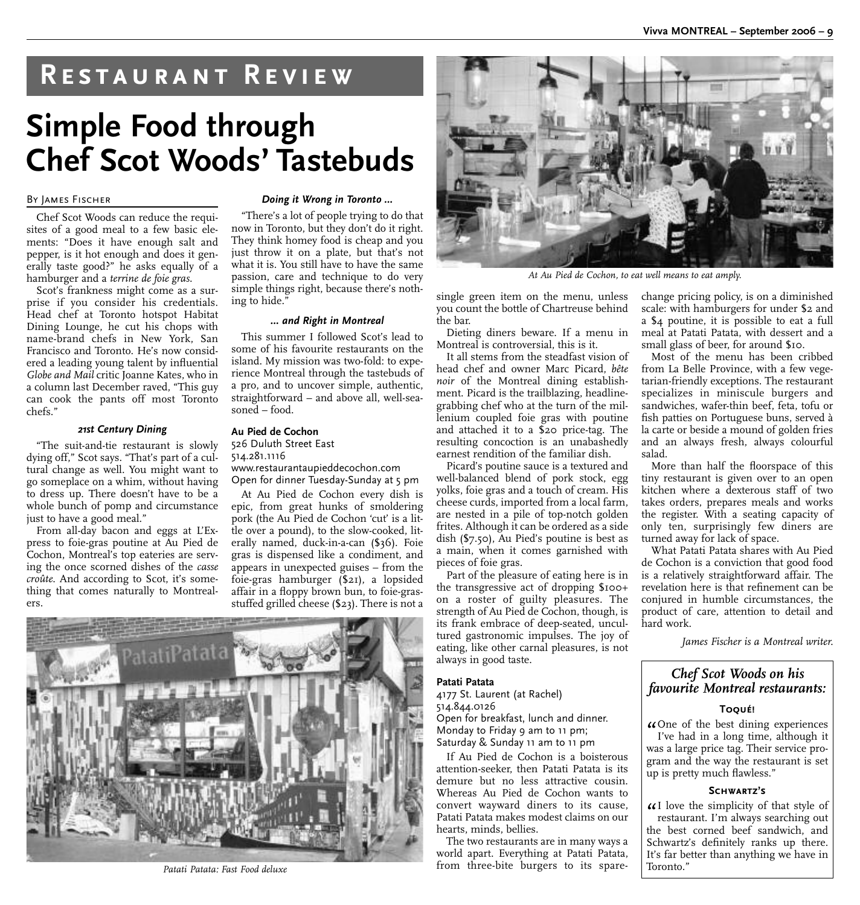### **Restaurant Review**

## **Simple Food through Chef Scot Woods' Tastebuds**

#### By James Fischer

Chef Scot Woods can reduce the requisites of a good meal to a few basic elements: "Does it have enough salt and pepper, is it hot enough and does it generally taste good?" he asks equally of a hamburger and a *terrine de foie gras*.

Scot's frankness might come as a surprise if you consider his credentials. Head chef at Toronto hotspot Habitat Dining Lounge, he cut his chops with name-brand chefs in New York, San Francisco and Toronto. He's now considered a leading young talent by influential *Globe and Mail* critic Joanne Kates, who in a column last December raved, "This guy can cook the pants off most Toronto chefs."

#### *21st Century Dining*

"The suit-and-tie restaurant is slowly dying off," Scot says. "That's part of a cultural change as well. You might want to go someplace on a whim, without having to dress up. There doesn't have to be a whole bunch of pomp and circumstance just to have a good meal."

From all-day bacon and eggs at L'Express to foie-gras poutine at Au Pied de Cochon, Montreal's top eateries are serving the once scorned dishes of the *casse croûte*. And according to Scot, it's something that comes naturally to Montrealers.

#### *Doing it Wrong in Toronto …*

"There's a lot of people trying to do that now in Toronto, but they don't do it right. They think homey food is cheap and you just throw it on a plate, but that's not what it is. You still have to have the same passion, care and technique to do very simple things right, because there's nothing to hide."

#### *… and Right in Montreal*

This summer I followed Scot's lead to some of his favourite restaurants on the island. My mission was two-fold: to experience Montreal through the tastebuds of a pro, and to uncover simple, authentic, straightforward – and above all, well-seasoned – food.

#### **Au Pied de Cochon**

526 Duluth Street East

514.281.1116

www.restaurantaupieddecochon.com Open for dinner Tuesday-Sunday at 5 pm

At Au Pied de Cochon every dish is epic, from great hunks of smoldering pork (the Au Pied de Cochon 'cut' is a little over a pound), to the slow-cooked, literally named, duck-in-a-can (\$36). Foie gras is dispensed like a condiment, and appears in unexpected guises – from the foie-gras hamburger (\$21), a lopsided affair in a floppy brown bun, to foie-grasstuffed grilled cheese (\$23). There is not a



*Patati Patata: Fast Food deluxe*



*At Au Pied de Cochon, to eat well means to eat amply.*

single green item on the menu, unless you count the bottle of Chartreuse behind the bar.

Dieting diners beware. If a menu in Montreal is controversial, this is it.

It all stems from the steadfast vision of head chef and owner Marc Picard, *bête noir* of the Montreal dining establishment. Picard is the trailblazing, headlinegrabbing chef who at the turn of the millenium coupled foie gras with poutine and attached it to a \$20 price-tag. The resulting concoction is an unabashedly earnest rendition of the familiar dish.

Picard's poutine sauce is a textured and well-balanced blend of pork stock, egg yolks, foie gras and a touch of cream. His cheese curds, imported from a local farm, are nested in a pile of top-notch golden frites. Although it can be ordered as a side dish (\$7.50), Au Pied's poutine is best as a main, when it comes garnished with pieces of foie gras.

Part of the pleasure of eating here is in the transgressive act of dropping \$100+ on a roster of guilty pleasures. The strength of Au Pied de Cochon, though, is its frank embrace of deep-seated, uncultured gastronomic impulses. The joy of eating, like other carnal pleasures, is not always in good taste.

#### **Patati Patata**

4177 St. Laurent (at Rachel) 514.844.0126 Open for breakfast, lunch and dinner. Monday to Friday 9 am to 11 pm; Saturday & Sunday 11 am to 11 pm

If Au Pied de Cochon is a boisterous attention-seeker, then Patati Patata is its demure but no less attractive cousin. Whereas Au Pied de Cochon wants to convert wayward diners to its cause, Patati Patata makes modest claims on our hearts, minds, bellies.

The two restaurants are in many ways a world apart. Everything at Patati Patata, from three-bite burgers to its sparechange pricing policy, is on a diminished scale: with hamburgers for under \$2 and a \$4 poutine, it is possible to eat a full meal at Patati Patata, with dessert and a small glass of beer, for around \$10.

Most of the menu has been cribbed from La Belle Province, with a few vegetarian-friendly exceptions. The restaurant specializes in miniscule burgers and sandwiches, wafer-thin beef, feta, tofu or fish patties on Portuguese buns, served à la carte or beside a mound of golden fries and an always fresh, always colourful salad.

More than half the floorspace of this tiny restaurant is given over to an open kitchen where a dexterous staff of two takes orders, prepares meals and works the register. With a seating capacity of only ten, surprisingly few diners are turned away for lack of space.

What Patati Patata shares with Au Pied de Cochon is a conviction that good food is a relatively straightforward affair. The revelation here is that refinement can be conjured in humble circumstances, the product of care, attention to detail and hard work.

*James Fischer is a Montreal writer.*

#### *Chef Scot Woods on his favourite Montreal restaurants:*

#### **Toqué!**

When of the best dining experiences<br>I've had in a long time, although it I've had in a long time, although it was a large price tag. Their service program and the way the restaurant is set up is pretty much flawless."

#### **Schwartz's**

" I love the simplicity of that style of restaurant. I'm always searching out the best corned beef sandwich, and Schwartz's definitely ranks up there. It's far better than anything we have in Toronto."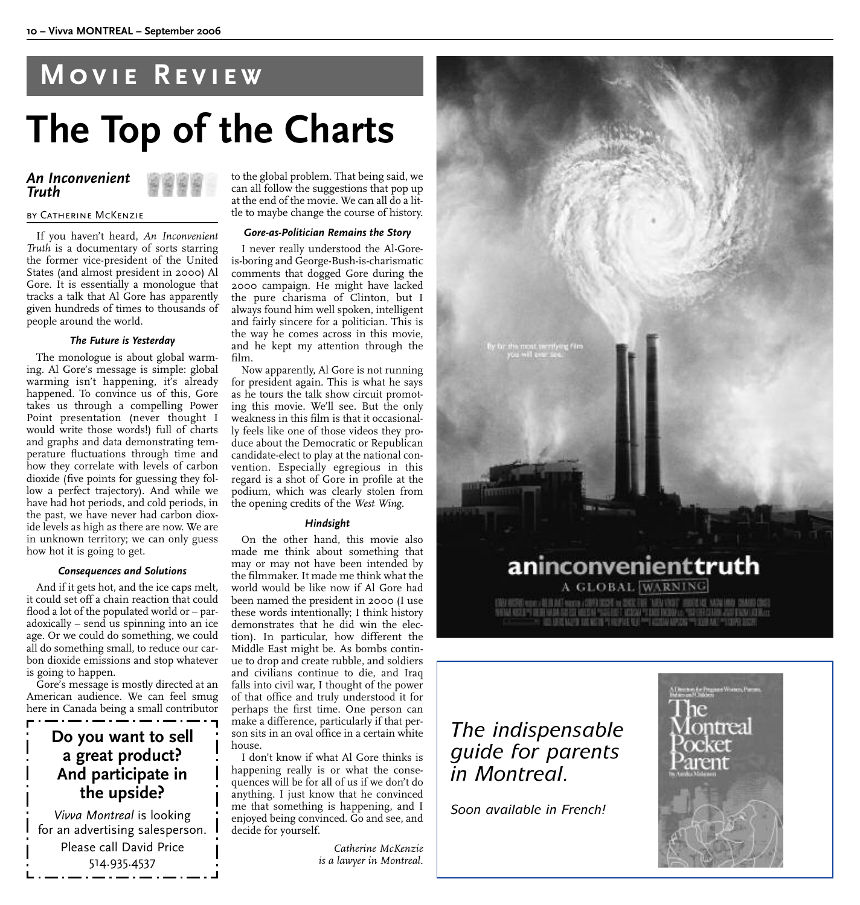### **Movie Review**

# **The Top of the Charts**

#### *An Inconvenient Truth*

#### by Catherine McKenzie

If you haven't heard, *An Inconvenient Truth* is a documentary of sorts starring the former vice-president of the United States (and almost president in 2000) Al Gore. It is essentially a monologue that tracks a talk that Al Gore has apparently given hundreds of times to thousands of people around the world.

#### *The Future is Yesterday*

The monologue is about global warming. Al Gore's message is simple: global warming isn't happening, it's already happened. To convince us of this, Gore takes us through a compelling Power Point presentation (never thought I would write those words!) full of charts and graphs and data demonstrating temperature fluctuations through time and how they correlate with levels of carbon dioxide (five points for guessing they follow a perfect trajectory). And while we have had hot periods, and cold periods, in the past, we have never had carbon dioxide levels as high as there are now. We are in unknown territory; we can only guess how hot it is going to get.

#### *Consequences and Solutions*

And if it gets hot, and the ice caps melt, it could set off a chain reaction that could flood a lot of the populated world or – paradoxically – send us spinning into an ice age. Or we could do something, we could all do something small, to reduce our carbon dioxide emissions and stop whatever is going to happen.

Gore's message is mostly directed at an American audience. We can feel smug here in Canada being a small contributor

### **Do you want to sell a great product? And participate in the upside?**

*Vivva Montreal* is looking for an advertising salesperson. Please call David Price 514.935.4537

to the global problem. That being said, we can all follow the suggestions that pop up at the end of the movie. We can all do a little to maybe change the course of history.

#### *Gore-as-Politician Remains the Story*

I never really understood the Al-Goreis-boring and George-Bush-is-charismatic comments that dogged Gore during the 2000 campaign. He might have lacked the pure charisma of Clinton, but I always found him well spoken, intelligent and fairly sincere for a politician. This is the way he comes across in this movie, and he kept my attention through the film.

Now apparently, Al Gore is not running for president again. This is what he says as he tours the talk show circuit promoting this movie. We'll see. But the only weakness in this film is that it occasionally feels like one of those videos they produce about the Democratic or Republican candidate-elect to play at the national convention. Especially egregious in this regard is a shot of Gore in profile at the podium, which was clearly stolen from the opening credits of the *West Wing*.

#### *Hindsight*

On the other hand, this movie also made me think about something that may or may not have been intended by the filmmaker. It made me think what the world would be like now if Al Gore had been named the president in 2000 (I use these words intentionally; I think history demonstrates that he did win the election). In particular, how different the Middle East might be. As bombs continue to drop and create rubble, and soldiers and civilians continue to die, and Iraq falls into civil war, I thought of the power of that office and truly understood it for perhaps the first time. One person can make a difference, particularly if that person sits in an oval office in a certain white house.

I don't know if what Al Gore thinks is happening really is or what the consequences will be for all of us if we don't do anything. I just know that he convinced me that something is happening, and I enjoyed being convinced. Go and see, and decide for yourself.

> *Catherine McKenzie is a lawyer in Montreal.*



### *The indispensable guide for parents in Montreal.*

*Soon available in French!*

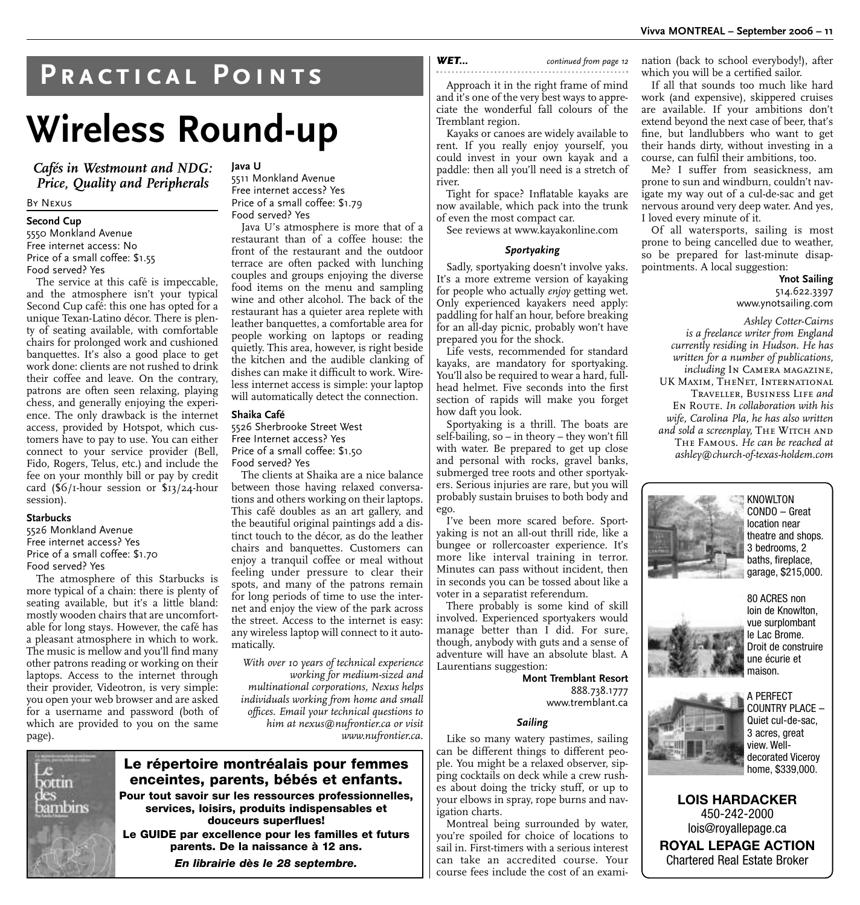### **Practical Points**

## **Wireless Round-up**

*Cafés in Westmount and NDG: Price, Quality and Peripherals*

#### By Nexus

**Second Cup** 5550 Monkland Avenue Free internet access: No Price of a small coffee: \$1.55 Food served? Yes

The service at this café is impeccable, and the atmosphere isn't your typical Second Cup café: this one has opted for a unique Texan-Latino décor. There is plenty of seating available, with comfortable chairs for prolonged work and cushioned banquettes. It's also a good place to get work done: clients are not rushed to drink their coffee and leave. On the contrary, patrons are often seen relaxing, playing chess, and generally enjoying the experience. The only drawback is the internet access, provided by Hotspot, which customers have to pay to use. You can either connect to your service provider (Bell, Fido, Rogers, Telus, etc.) and include the fee on your monthly bill or pay by credit card  $(\frac{$6}{1}\text{-}hour$  session or  $\frac{$13}{24}\text{-}hour$ session).

#### **Starbucks**

5526 Monkland Avenue Free internet access? Yes Price of a small coffee: \$1.70 Food served? Yes

The atmosphere of this Starbucks is more typical of a chain: there is plenty of seating available, but it's a little bland: mostly wooden chairs that are uncomfortable for long stays. However, the café has a pleasant atmosphere in which to work. The music is mellow and you'll find many other patrons reading or working on their laptops. Access to the internet through their provider, Videotron, is very simple: you open your web browser and are asked for a username and password (both of which are provided to you on the same page).

**Java U** 5511 Monkland Avenue Free internet access? Yes Price of a small coffee: \$1.79 Food served? Yes

Java U's atmosphere is more that of a restaurant than of a coffee house: the front of the restaurant and the outdoor terrace are often packed with lunching couples and groups enjoying the diverse food items on the menu and sampling wine and other alcohol. The back of the restaurant has a quieter area replete with leather banquettes, a comfortable area for people working on laptops or reading quietly. This area, however, is right beside the kitchen and the audible clanking of dishes can make it difficult to work. Wireless internet access is simple: your laptop will automatically detect the connection.

#### **Shaika Café**

5526 Sherbrooke Street West Free Internet access? Yes Price of a small coffee: \$1.50 Food served? Yes

The clients at Shaika are a nice balance between those having relaxed conversations and others working on their laptops. This café doubles as an art gallery, and the beautiful original paintings add a distinct touch to the décor, as do the leather chairs and banquettes. Customers can enjoy a tranquil coffee or meal without feeling under pressure to clear their spots, and many of the patrons remain for long periods of time to use the internet and enjoy the view of the park across the street. Access to the internet is easy: any wireless laptop will connect to it automatically.

*With over 10 years of technical experience working for medium-sized and multinational corporations, Nexus helps individuals working from home and small offices. Email your technical questions to him at nexus@nufrontier.ca or visit www.nufrontier.ca.*



#### **Le répertoire montréalais pour femmes enceintes, parents, bébés et enfants.**

**Pour tout savoir sur les ressources professionnelles, services, loisirs, produits indispensables et douceurs superflues!**

**Le GUIDE par excellence pour les familles et futurs parents. De la naissance à 12 ans.**

*En librairie dès le 28 septembre.*

Approach it in the right frame of mind and it's one of the very best ways to appreciate the wonderful fall colours of the Tremblant region.

Kayaks or canoes are widely available to rent. If you really enjoy yourself, you could invest in your own kayak and a paddle: then all you'll need is a stretch of river.

Tight for space? Inflatable kayaks are now available, which pack into the trunk of even the most compact car.

See reviews at www.kayakonline.com

#### *Sportyaking*

Sadly, sportyaking doesn't involve yaks. It's a more extreme version of kayaking for people who actually *enjoy* getting wet. Only experienced kayakers need apply: paddling for half an hour, before breaking for an all-day picnic, probably won't have prepared you for the shock.

Life vests, recommended for standard kayaks, are mandatory for sportyaking. You'll also be required to wear a hard, fullhead helmet. Five seconds into the first section of rapids will make you forget how daft you look.

Sportyaking is a thrill. The boats are self-bailing, so – in theory – they won't fill with water. Be prepared to get up close and personal with rocks, gravel banks, submerged tree roots and other sportyakers. Serious injuries are rare, but you will probably sustain bruises to both body and ego.

I've been more scared before. Sportyaking is not an all-out thrill ride, like a bungee or rollercoaster experience. It's more like interval training in terror. Minutes can pass without incident, then in seconds you can be tossed about like a voter in a separatist referendum.

There probably is some kind of skill involved. Experienced sportyakers would manage better than I did. For sure, though, anybody with guts and a sense of adventure will have an absolute blast. A Laurentians suggestion:

> **Mont Tremblant Resort** 888.738.1777 www.tremblant.ca

#### *Sailing*

Like so many watery pastimes, sailing can be different things to different people. You might be a relaxed observer, sipping cocktails on deck while a crew rushes about doing the tricky stuff, or up to your elbows in spray, rope burns and navigation charts.

Montreal being surrounded by water, you're spoiled for choice of locations to sail in. First-timers with a serious interest can take an accredited course. Your course fees include the cost of an exami-

*WET... continued from page 12* nation (back to school everybody!), after which you will be a certified sailor.

> If all that sounds too much like hard work (and expensive), skippered cruises are available. If your ambitions don't extend beyond the next case of beer, that's fine, but landlubbers who want to get their hands dirty, without investing in a course, can fulfil their ambitions, too.

> Me? I suffer from seasickness, am prone to sun and windburn, couldn't navigate my way out of a cul-de-sac and get nervous around very deep water. And yes, I loved every minute of it.

> Of all watersports, sailing is most prone to being cancelled due to weather, so be prepared for last-minute disappointments. A local suggestion:

#### **Ynot Sailing** 514.622.3397 www.ynotsailing.com

*Ashley Cotter-Cairns is a freelance writer from England currently residing in Hudson. He has written for a number of publications, including* In Camera magazine, UK Maxim, TheNet, International Traveller, Business Life *and* En Route*. In collaboration with his wife, Carolina Pla, he has also written and sold a screenplay*, THE WITCH AND The Famous*. He can be reached at ashley@church-of-texas-holdem.com*



KNOWLTON CONDO – Great location near theatre and shops. 3 bedrooms, 2 baths, fireplace, garage, \$215,000.







A PERFECT COUNTRY PLACE – Quiet cul-de-sac, 3 acres, great view. Welldecorated Viceroy home, \$339,000.

**LOIS HARDACKER** 450-242-2000 lois@royallepage.ca **ROYAL LEPAGE ACTION** Chartered Real Estate Broker